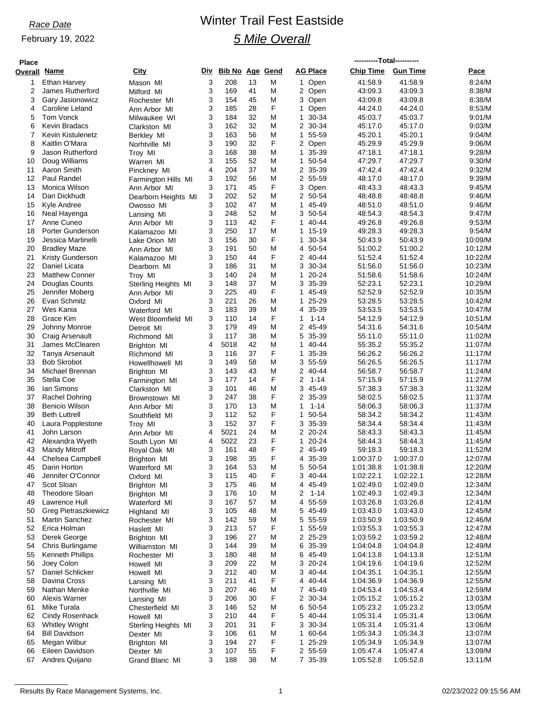### February 19, 2022

# *Race Date* Winter Trail Fest Eastside *5 Mile Overall*

| <b>Place</b> |                                               |                               |        |                        |          |        |                            | ----------Total---------- |                        |                    |  |
|--------------|-----------------------------------------------|-------------------------------|--------|------------------------|----------|--------|----------------------------|---------------------------|------------------------|--------------------|--|
| Overall      | <u>Name</u>                                   | City                          | Div    | <b>Bib No Age Gend</b> |          |        | <b>AG Place</b>            | <b>Chip Time</b>          | <b>Gun Time</b>        | Pace               |  |
| 1            | Ethan Harvey                                  | Mason MI                      | 3      | 208                    | 13       | М      | 1 Open                     | 41:58.9                   | 41:58.9                | 8:24/M             |  |
| 2            | James Rutherford                              | Milford MI                    | 3      | 169                    | 41       | M      | 2 Open                     | 43:09.3                   | 43:09.3                | 8:38/M             |  |
| 3            | Gary Jasionowicz                              | Rochester MI                  | 3      | 154                    | 45       | Μ      | 3 Open                     | 43:09.8                   | 43:09.8                | 8:38/M             |  |
| 4            | Caroline Leland                               | Ann Arbor MI                  | 3      | 185                    | 28       | F      | Open<br>1                  | 44:24.0                   | 44:24.0                | 8:53/M             |  |
| 5            | Tom Vonck                                     | Milwaukee WI                  | 3      | 184                    | 32       | M      | $\mathbf 1$<br>30-34       | 45:03.7                   | 45:03.7                | 9:01/M             |  |
| 6<br>7       | Kevin Bradacs<br>Kevin Kistulenetz            | Clarkston MI                  | 3<br>3 | 162<br>163             | 32<br>56 | Μ<br>M | 2 30-34<br>55-59<br>1      | 45:17.0                   | 45:17.0<br>45:20.1     | 9:03/M<br>9:04/M   |  |
| 8            | Kaitlin O'Mara                                | Berkley MI                    | 3      | 190                    | 32       | F      | 2 Open                     | 45:20.1<br>45:29.9        | 45:29.9                | 9:06/M             |  |
| 9            | Jason Rutherford                              | Norhtville MI<br>Troy MI      | 3      | 168                    | 38       | M      | $\mathbf{1}$<br>35-39      | 47:18.1                   | 47:18.1                | 9:28/M             |  |
| 10           | Doug Williams                                 | Warren MI                     | 3      | 155                    | 52       | M      | $\mathbf{1}$<br>50-54      | 47:29.7                   | 47:29.7                | 9:30/M             |  |
| 11           | Aaron Smith                                   | Pinckney MI                   | 4      | 204                    | 37       | Μ      | 2 35-39                    | 47:42.4                   | 47:42.4                | 9:32/M             |  |
| 12           | Paul Randel                                   | Farmington Hills MI           | 3      | 192                    | 56       | M      | 2 55-59                    | 48:17.0                   | 48:17.0                | 9:39/M             |  |
| 13           | Monica Wilson                                 | Ann Arbor MI                  | 3      | 171                    | 45       | F      | Open<br>3                  | 48:43.3                   | 48:43.3                | 9:45/M             |  |
| 14           | Dan Dickhudt                                  | Dearborn Heights MI           | 3      | 202                    | 52       | M      | 2 50-54                    | 48:48.8                   | 48:48.8                | 9:46/M             |  |
| 15           | Kyle Andree                                   | Owosso MI                     | 3      | 102                    | 47       | M      | 1<br>45-49                 | 48:51.0                   | 48:51.0                | 9:46/M             |  |
| 16           | Neal Hayenga                                  | Lansing MI                    | 3      | 248                    | 52       | M      | 3 50-54                    | 48:54.3                   | 48:54.3                | 9:47/M             |  |
| 17           | Anne Cuneo                                    | Ann Arbor MI                  | 3      | 113                    | 42<br>17 | F<br>M | 40-44<br>1<br>$\mathbf{1}$ | 49:26.8                   | 49:26.8                | 9:53/M             |  |
| 18<br>19     | Porter Gunderson<br>Jessica Martinelli        | Kalamazoo MI                  | 3<br>3 | 250<br>156             | 30       | F      | 15-19<br>30-34<br>1        | 49:28.3<br>50:43.9        | 49:28.3<br>50:43.9     | 9:54/M<br>10:09/M  |  |
| 20           | <b>Bradley Maze</b>                           | Lake Orion MI<br>Ann Arbor MI | 3      | 191                    | 50       | M      | 4 50-54                    | 51:00.2                   | 51:00.2                | 10:12/M            |  |
| 21           | <b>Kristy Gunderson</b>                       | Kalamazoo MI                  | 3      | 150                    | 44       | F      | 2 40-44                    | 51:52.4                   | 51:52.4                | 10:22/M            |  |
| 22           | Daniel Licata                                 | Dearborn MI                   | 3      | 186                    | 31       | M      | 3 30-34                    | 51:56.0                   | 51:56.0                | 10:23/M            |  |
| 23           | <b>Matthew Conner</b>                         | Troy MI                       | 3      | 140                    | 24       | M      | $20 - 24$<br>1             | 51:58.6                   | 51:58.6                | 10:24/M            |  |
| 24           | Douglas Counts                                | Sterling Heights MI           | 3      | 148                    | 37       | M      | 3 35-39                    | 52:23.1                   | 52:23.1                | 10:29/M            |  |
| 25           | Jennifer Moberg                               | Ann Arbor MI                  | 3      | 225                    | 49       | F      | 45-49<br>1                 | 52:52.9                   | 52:52.9                | 10:35/M            |  |
| 26           | Evan Schmitz                                  | Oxford MI                     | 3      | 221                    | 26       | M      | 1<br>25-29                 | 53.28.5                   | 53.28.5                | 10:42/M            |  |
| 27           | Wes Kania                                     | Waterford MI                  | 3      | 183                    | 39       | Μ      | 4 35-39                    | 53:53.5                   | 53:53.5                | 10:47/M            |  |
| 28           | Grace Kim                                     | West Bloomfield MI            | 3      | 110                    | 14       | F      | $1 - 14$<br>1              | 54:12.9                   | 54:12.9                | 10:51/M            |  |
| 29<br>30     | Johnny Monroe                                 | Detroit MI                    | 3<br>3 | 179<br>117             | 49<br>38 | M      | 2 45-49<br>5 35-39         | 54:31.6<br>55:11.0        | 54:31.6<br>55:11.0     | 10:54/M<br>11:02/M |  |
| 31           | Craig Arsenault<br>James McClearen            | Richmond MI                   | 4      | 5018                   | 42       | Μ<br>M | 40-44<br>1                 | 55:35.2                   | 55:35.2                | 11:07/M            |  |
| 32           | Tanya Arsenault                               | Brighton MI<br>Richmond MI    | 3      | 116                    | 37       | F      | 1<br>35-39                 | 56:26.2                   | 56:26.2                | 11:17/M            |  |
| 33           | <b>Bob Skrobot</b>                            | Howellhowell MI               | 3      | 149                    | 58       | M      | 55-59<br>3                 | 56:26.5                   | 56:26.5                | 11:17/M            |  |
| 34           | Michael Brennan                               | Brighton MI                   | 3      | 143                    | 43       | M      | 2 40-44                    | 56:58.7                   | 56:58.7                | 11:24/M            |  |
| 35           | Stella Coe                                    | Farmington MI                 | 3      | 177                    | 14       | F      | 2<br>$1 - 14$              | 57:15.9                   | 57:15.9                | 11:27/M            |  |
| 36           | lan Simons                                    | Clarkston MI                  | 3      | 101                    | 46       | M      | 3 45-49                    | 57:38.3                   | 57:38.3                | 11:32/M            |  |
| 37           | Rachel Dohring                                | Brownstown MI                 | 3      | 247                    | 38       | F      | $\overline{2}$<br>35-39    | 58:02.5                   | 58:02.5                | 11:37/M            |  |
| 38           | <b>Benicio Wilson</b>                         | Ann Arbor MI                  | 3      | 170                    | 13       | M      | $1 - 14$<br>1              | 58:06.3                   | 58:06.3                | 11:37/M            |  |
| 39           | <b>Beth Luttrell</b>                          | Southfield MI                 | 3      | 112                    | 52       | F      | 50-54<br>1                 | 58:34.2                   | 58:34.2                | 11:43/M            |  |
| 40<br>41     | Laura Popplestone<br>John Larson              | Troy MI                       | 3<br>4 | 152<br>5021            | 37<br>24 | F<br>M | 3 35-39<br>2 20-24         | 58:34.4<br>58:43.3        | 58:34.4<br>58:43.3     | 11:43/M<br>11:45/M |  |
| 42           | Alexandra Wyeth                               | Ann Arbor MI<br>South Lyon MI | 4      | 5022                   | 23       | F      | 1<br>$20 - 24$             | 58:44.3                   | 58:44.3                | 11:45/M            |  |
| 43           | Mandy Mitroff                                 | Royal Oak MI                  | 3      | 161                    | 48       | F      | 2 45-49                    | 59:18.3                   | 59:18.3                | 11:52/M            |  |
| 44           | Chelsea Campbell                              | Brighton MI                   | З      | 198                    | 35       | F      | 4<br>$35 - 39$             | 1:00:37.0                 | 1:00:37.0              | 12:07/M            |  |
| 45           | Darin Horton                                  | Waterford MI                  | 3      | 164                    | 53       | M      | 5<br>50-54                 | 1:01:38.8                 | 1:01:38.8              | 12:20/M            |  |
| 46           | Jennifer O'Connor                             | Oxford MI                     | 3      | 115                    | 40       | F      | 3 40-44                    | 1:02:22.1                 | 1:02:22.1              | 12:28/M            |  |
| 47           | Scot Sloan                                    | Brighton MI                   | 3      | 175                    | 46       | M      | 4 45-49                    | 1:02:49.0                 | 1:02:49.0              | 12:34/M            |  |
| 48           | <b>Theodore Sloan</b>                         | Brighton MI                   | 3      | 176                    | 10       | M      | 2<br>$1 - 14$              | 1:02:49.3                 | 1:02:49.3              | 12:34/M            |  |
| 49           | Lawrence Hull                                 | Waterford MI                  | 3      | 167                    | 57       | Μ      | 55-59<br>4                 | 1:03:26.8                 | 1:03:26.8              | 12:41/M            |  |
| 50           | <b>Greg Pietraszkiewicz</b>                   | Highland MI                   | 3      | 105                    | 48       | M      | 5 45-49                    | 1:03:43.0                 | 1:03:43.0              | 12:45/M            |  |
| 51           | <b>Martin Sanchez</b>                         | Rochester MI                  | 3      | 142                    | 59       | M<br>F | 5 55-59                    | 1:03:50.9                 | 1:03:50.9              | 12:46/M            |  |
| 52<br>53     | Erica Holman<br>Derek George                  | Haslett MI<br>Brighton MI     | 3<br>3 | 213<br>196             | 57<br>27 | M      | 55-59<br>1<br>2 25-29      | 1:03:55.3<br>1:03:59.2    | 1:03:55.3<br>1:03:59.2 | 12:47/M<br>12:48/M |  |
| 54           | Chris Burlingame                              | Williamston MI                | 3      | 144                    | 39       | M      | 6 35-39                    | 1:04:04.8                 | 1:04:04.8              | 12:49/M            |  |
| 55           | Kenneth Phillips                              | Rochester MI                  | 3      | 180                    | 48       | Μ      | 6 45-49                    | 1:04:13.8                 | 1:04:13.8              | 12:51/M            |  |
| 56           | Joey Colon                                    | Howell MI                     | 3      | 209                    | 22       | M      | 3<br>20-24                 | 1:04:19.6                 | 1:04:19.6              | 12:52/M            |  |
| 57           | Daniel Schlicker                              | Howell MI                     | 3      | 212                    | 40       | Μ      | 3 40-44                    | 1:04:35.1                 | 1:04:35.1              | 12:55/M            |  |
| 58           | Davina Cross                                  | Lansing MI                    | 3      | 211                    | 41       | F      | 4 40-44                    | 1:04:36.9                 | 1:04:36.9              | 12:55/M            |  |
| 59           | Nathan Menke                                  | Northville MI                 | 3      | 207                    | 46       | Μ      | 7 45-49                    | 1:04:53.4                 | 1:04:53.4              | 12:59/M            |  |
| 60           | Alexis Warner                                 | Lansing MI                    | 3      | 206                    | 30       | F      | 2 30-34                    | 1:05:15.2                 | 1:05:15.2              | 13:03/M            |  |
| 61           | Mike Turala                                   | Chesterfield MI               | 3      | 146                    | 52       | M      | 6 50-54                    | 1:05:23.2                 | 1:05:23.2              | 13:05/M            |  |
| 62           | Cindy Rosenhack                               | Howell MI                     | 3      | 210                    | 44       | F      | 5 40-44                    | 1:05:31.4                 | 1:05:31.4              | 13:06/M            |  |
| 63<br>64     | <b>Whitley Wright</b><br><b>Bill Davidson</b> | Sterling Heights MI           | 3<br>3 | 201<br>106             | 31<br>61 | F<br>M | 3 30-34<br>60-64<br>1      | 1:05:31.4<br>1:05:34.3    | 1:05:31.4<br>1:05:34.3 | 13:06/M<br>13:07/M |  |
| 65           | Megan Wilbur                                  | Dexter MI<br>Brighton MI      | 3      | 194                    | 27       | F      | 25-29<br>$\mathbf{1}$      | 1:05:34.9                 | 1:05:34.9              | 13:07/M            |  |
| 66           | Eileen Davidson                               | Dexter MI                     | 3      | 107                    | 55       | F      | 2 55-59                    | 1:05:47.4                 | 1:05:47.4              | 13:09/M            |  |
| 67           | Andres Quijano                                | Grand Blanc MI                | 3      | 188                    | 38       | M      | 7 35-39                    | 1:05:52.8                 | 1:05:52.8              | 13:11/M            |  |
|              |                                               |                               |        |                        |          |        |                            |                           |                        |                    |  |

Results By Race Management Systems, Inc. 1 02/23/2022 09:15:56 AM